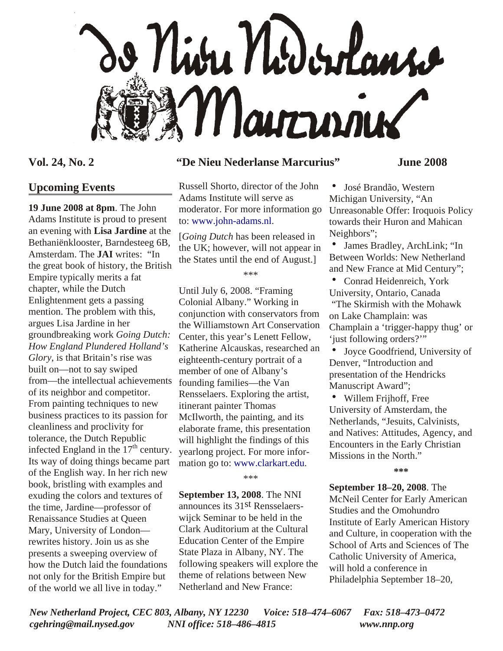

## **Upcoming Events**

**19 June 2008 at 8pm**. The John Adams Institute is proud to present an evening with **Lisa Jardine** at the Bethaniënklooster, Barndesteeg 6B, Amsterdam. The **JAI** writes: "In the great book of history, the British Empire typically merits a fat chapter, while the Dutch Enlightenment gets a passing mention. The problem with this, argues Lisa Jardine in her groundbreaking work *Going Dutch: How England Plundered Holland's Glory*, is that Britain's rise was built on—not to say swiped from—the intellectual achievements of its neighbor and competitor. From painting techniques to new business practices to its passion for cleanliness and proclivity for tolerance, the Dutch Republic infected England in the  $17<sup>th</sup>$  century. Its way of doing things became part of the English way. In her rich new book, bristling with examples and exuding the colors and textures of the time, Jardine—professor of Renaissance Studies at Queen Mary, University of London rewrites history. Join us as she presents a sweeping overview of how the Dutch laid the foundations not only for the British Empire but of the world we all live in today."

### **Vol. 24, No. 2 "De Nieu Nederlanse Marcurius" June 2008**

Russell Shorto, director of the John Adams Institute will serve as moderator. For more information go to: [www.john-adams.nl.](http://www.john-adams.nl)

[*Going Dutch* has been released in the UK; however, will not appear in the States until the end of August.]

\*\*\*

Until July 6, 2008. "Framing Colonial Albany." Working in conjunction with conservators from the Williamstown Art Conservation Center, this year's Lenett Fellow, Katherine Alcauskas, researched an eighteenth-century portrait of a member of one of Albany's founding families—the Van Rensselaers. Exploring the artist, itinerant painter Thomas McIlworth, the painting, and its elaborate frame, this presentation will highlight the findings of this yearlong project. For more information go to: [www.clarkart.edu.](http://www.clarkart.edu)

\*\*\*

**September 13, 2008**. The NNI announces its 31st Rensselaerswijck Seminar to be held in the Clark Auditorium at the Cultural Education Center of the Empire State Plaza in Albany, NY. The following speakers will explore the theme of relations between New Netherland and New France:

José Brandão, Western Michigan University, "An Unreasonable Offer: Iroquois Policy towards their Huron and Mahican Neighbors";

James Bradley, ArchLink; "In Between Worlds: New Netherland and New France at Mid Century";

• Conrad Heidenreich, York University, Ontario, Canada "The Skirmish with the Mohawk on Lake Champlain: was Champlain a 'trigger-happy thug' or 'just following orders?'"

Joyce Goodfriend, University of Denver, "Introduction and presentation of the Hendricks Manuscript Award";

• Willem Frijhoff, Free University of Amsterdam, the Netherlands, "Jesuits, Calvinists, and Natives: Attitudes, Agency, and Encounters in the Early Christian Missions in the North."

**\*\*\***

**September 18–20, 2008**. The McNeil Center for Early American Studies and the Omohundro Institute of Early American History and Culture, in cooperation with the School of Arts and Sciences of The Catholic University of America, will hold a conference in Philadelphia September 18–20,

*New Netherland Project, CEC 803, Albany, NY 12230 Voice: 518–474–6067 Fax: 518–473–0472 cgehring@mail.nysed.gov NNI office: 518–486–4815 www.nnp.org*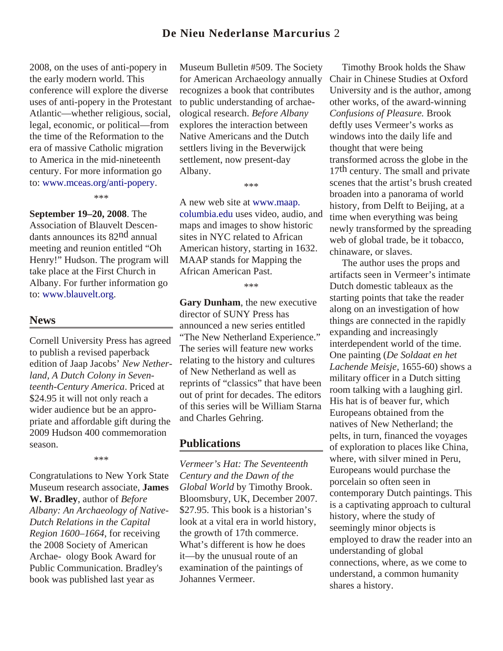## **De Nieu Nederlanse Marcurius** 2

2008, on the uses of anti-popery in the early modern world. This conference will explore the diverse uses of anti-popery in the Protestant Atlantic—whether religious, social, legal, economic, or political—from the time of the Reformation to the era of massive Catholic migration to America in the mid-nineteenth century. For more information go to: [www.mceas.org/anti-popery.](http://www.mceas.org/anti-popery)

\*\*\*

**September 19–20, 2008**. The Association of Blauvelt Descendants announces its 82nd annual meeting and reunion entitled "Oh Henry!" Hudson. The program will take place at the First Church in Albany. For further information go to: www.blauvelt.org.

### **News**

Cornell University Press has agreed to publish a revised paperback edition of Jaap Jacobs' *New Netherland, A Dutch Colony in Seventeenth-Century America*. Priced at \$24.95 it will not only reach a wider audience but be an appropriate and affordable gift during the 2009 Hudson 400 commemoration season.

\*\*\*

Congratulations to New York State Museum research associate, **James W. Bradley**, author of *Before Albany: An Archaeology of Native-Dutch Relations in the Capital Region 1600–1664*, for receiving the 2008 Society of American Archae- ology Book Award for Public Communication. Bradley's book was published last year as

Museum Bulletin #509. The Society for American Archaeology annually recognizes a book that contributes to public understanding of archaeological research. *Before Albany* explores the interaction between Native Americans and the Dutch settlers living in the Beverwijck settlement, now present-day Albany.

\*\*\*

A new web site at www.maap. [columbia.edu uses video, audio](http://www.maap.columbia.edu), and maps and images to show historic sites in NYC related to African American history, starting in 1632. MAAP stands for Mapping the African American Past.

\*\*\*

**Gary Dunham**, the new executive director of SUNY Press has announced a new series entitled "The New Netherland Experience." The series will feature new works relating to the history and cultures of New Netherland as well as reprints of "classics" that have been out of print for decades. The editors of this series will be William Starna and Charles Gehring.

### **Publications**

*Vermeer's Hat: The Seventeenth Century and the Dawn of the Global World* by Timothy Brook. Bloomsbury, UK, December 2007. \$27.95. This book is a historian's look at a vital era in world history, the growth of 17th commerce. What's different is how he does it—by the unusual route of an examination of the paintings of Johannes Vermeer.

 Timothy Brook holds the Shaw Chair in Chinese Studies at Oxford University and is the author, among other works, of the award-winning *Confusions of Pleasure.* Brook deftly uses Vermeer's works as windows into the daily life and thought that were being transformed across the globe in the 17<sup>th</sup> century. The small and private scenes that the artist's brush created broaden into a panorama of world history, from Delft to Beijing, at a time when everything was being newly transformed by the spreading web of global trade, be it tobacco, chinaware, or slaves.

 The author uses the props and artifacts seen in Vermeer's intimate Dutch domestic tableaux as the starting points that take the reader along on an investigation of how things are connected in the rapidly expanding and increasingly interdependent world of the time. One painting (*De Soldaat en het Lachende Meisje,* 1655-60) shows a military officer in a Dutch sitting room talking with a laughing girl. His hat is of beaver fur, which Europeans obtained from the natives of New Netherland; the pelts, in turn, financed the voyages of exploration to places like China, where, with silver mined in Peru, Europeans would purchase the porcelain so often seen in contemporary Dutch paintings. This is a captivating approach to cultural history, where the study of seemingly minor objects is employed to draw the reader into an understanding of global connections, where, as we come to understand, a common humanity shares a history.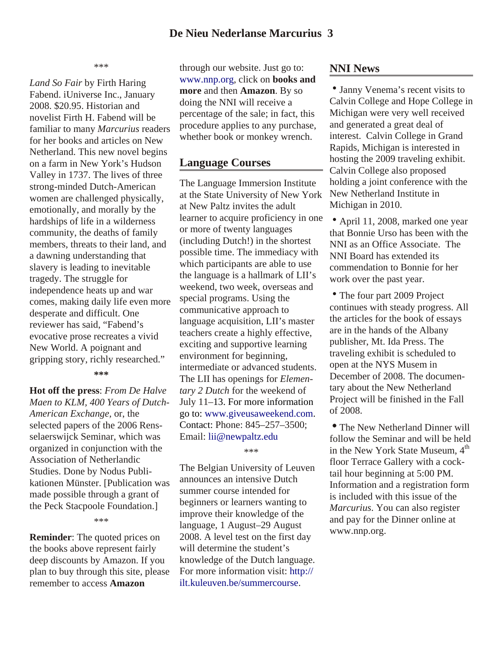\*\*\*

*Land So Fair* by Firth Haring Fabend. iUniverse Inc., January 2008. \$20.95. Historian and novelist Firth H. Fabend will be familiar to many *Marcurius* readers for her books and articles on New Netherland. This new novel begins on a farm in New York's Hudson Valley in 1737. The lives of three strong-minded Dutch-American women are challenged physically, emotionally, and morally by the hardships of life in a wilderness community, the deaths of family members, threats to their land, and a dawning understanding that slavery is leading to inevitable tragedy. The struggle for independence heats up and war comes, making daily life even more desperate and difficult. One reviewer has said, "Fabend's evocative prose recreates a vivid New World. A poignant and gripping story, richly researched."

**\*\*\***

**Hot off the press**: *From De Halve Maen to KLM, 400 Years of Dutch-American Exchange,* or, the selected papers of the 2006 Rensselaerswijck Seminar, which was organized in conjunction with the Association of Netherlandic Studies. Done by Nodus Publikationen Münster. [Publication was made possible through a grant of the Peck Stacpoole Foundation.]

#### \*\*\*

**Reminder**: The quoted prices on the books above represent fairly deep discounts by Amazon. If you plan to buy through this site, please remember to access **Amazon**

through our website. Just go to: www.nnp.org, click on **books and more** and then **Amazon**. By so doing the NNI will receive a percentage of the sale; in fact, this procedure applies to any purchase, whether book or monkey wrench.

### **Language Courses**

The Language Immersion Institute at the State University of New York at New Paltz invites the adult learner to acquire proficiency in one or more of twenty languages (including Dutch!) in the shortest possible time. The immediacy with which participants are able to use the language is a hallmark of LII's weekend, two week, overseas and special programs. Using the communicative approach to language acquisition, LII's master teachers create a highly effective, exciting and supportive learning environment for beginning, intermediate or advanced students. The LII has openings for *Elementary 2 Dutch* for the weekend of July 11–13. For more information go to: [www.giveusaweekend.com.](http://www.giveusaweekend.com) Contact: Phone: 845–257–3500; Email: [lii@newpaltz.edu](mailto:lii@newpaltz.edu)

\*\*\*

The Belgian University of Leuven announces an intensive Dutch summer course intended for beginners or learners wanting to improve their knowledge of the language, 1 August–29 August 2008. A level test on the first day will determine the student's knowledge of the Dutch language. [For more information visit: http://](http://ilt.kuleuven.be/summercourse) ilt.kuleuven.be/summercourse.

### **NNI News**

• Janny Venema's recent visits to Calvin College and Hope College in Michigan were very well received and generated a great deal of interest. Calvin College in Grand Rapids, Michigan is interested in hosting the 2009 traveling exhibit. Calvin College also proposed holding a joint conference with the New Netherland Institute in Michigan in 2010.

• April 11, 2008, marked one year that Bonnie Urso has been with the NNI as an Office Associate. The NNI Board has extended its commendation to Bonnie for her work over the past year.

• The four part 2009 Project continues with steady progress. All the articles for the book of essays are in the hands of the Albany publisher, Mt. Ida Press. The traveling exhibit is scheduled to open at the NYS Musem in December of 2008. The documentary about the New Netherland Project will be finished in the Fall of 2008.

• The New Netherland Dinner will follow the Seminar and will be held in the New York State Museum,  $4<sup>th</sup>$ floor Terrace Gallery with a cocktail hour beginning at 5:00 PM. Information and a registration form is included with this issue of the *Marcurius*. You can also register and pay for the Dinner online at www.nnp.org.